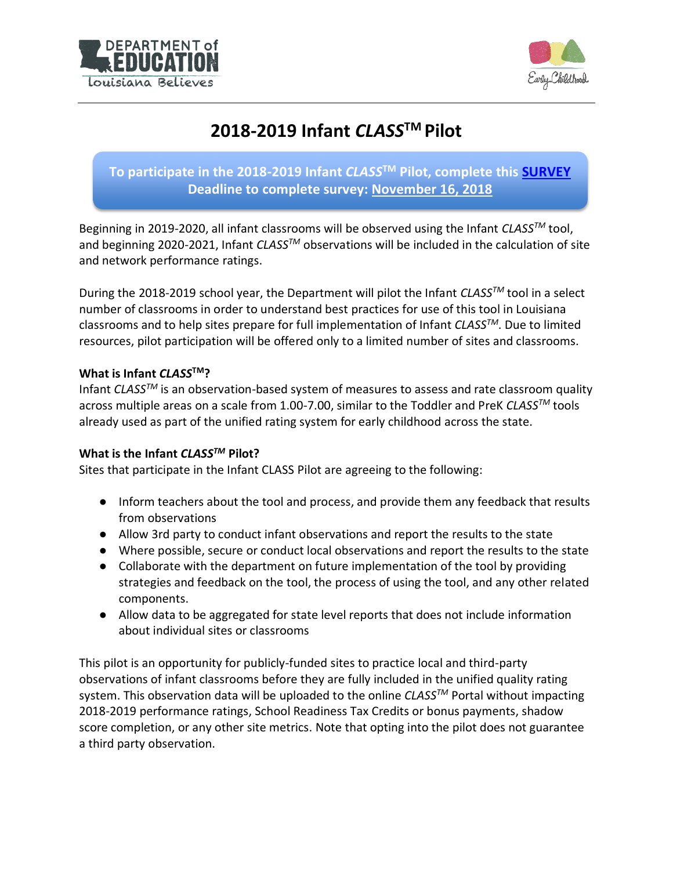



# **2018-2019 Infant** *CLASS***TM Pilot**

# **To participate in the 2018-2019 Infant** *CLASS***TM Pilot, complete this [SURVEY](https://www.surveymonkey.com/r/infantclasspilot) Deadline to complete survey: November 16, 2018**

Beginning in 2019-2020, all infant classrooms will be observed using the Infant *CLASSTM* tool, and beginning 2020-2021, Infant *CLASSTM* observations will be included in the calculation of site and network performance ratings.

During the 2018-2019 school year, the Department will pilot the Infant *CLASSTM* tool in a select number of classrooms in order to understand best practices for use of this tool in Louisiana classrooms and to help sites prepare for full implementation of Infant *CLASSTM*. Due to limited resources, pilot participation will be offered only to a limited number of sites and classrooms.

#### **What is Infant** *CLASS***TM?**

Infant *CLASSTM* is an observation-based system of measures to assess and rate classroom quality across multiple areas on a scale from 1.00-7.00, similar to the Toddler and PreK *CLASSTM* tools already used as part of the unified rating system for early childhood across the state.

## **What is the Infant** *CLASSTM* **Pilot?**

Sites that participate in the Infant CLASS Pilot are agreeing to the following:

- Inform teachers about the tool and process, and provide them any feedback that results from observations
- Allow 3rd party to conduct infant observations and report the results to the state
- Where possible, secure or conduct local observations and report the results to the state
- Collaborate with the department on future implementation of the tool by providing strategies and feedback on the tool, the process of using the tool, and any other related components.
- Allow data to be aggregated for state level reports that does not include information about individual sites or classrooms

This pilot is an opportunity for publicly-funded sites to practice local and third-party observations of infant classrooms before they are fully included in the unified quality rating system. This observation data will be uploaded to the online *CLASSTM* Portal without impacting 2018-2019 performance ratings, School Readiness Tax Credits or bonus payments, shadow score completion, or any other site metrics. Note that opting into the pilot does not guarantee a third party observation.